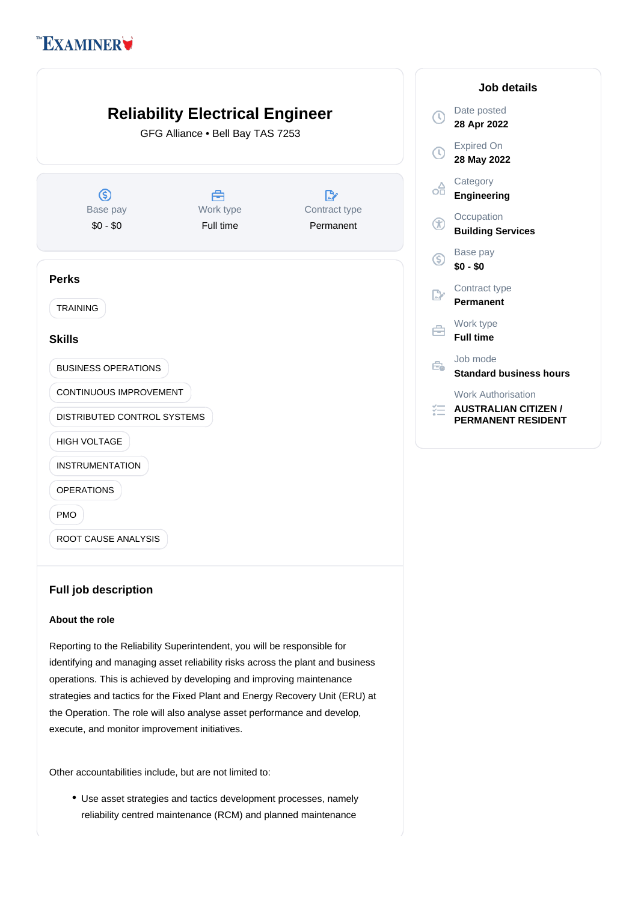# **EXAMINER**



## **Full job description**

### **About the role**

Reporting to the Reliability Superintendent, you will be responsible for identifying and managing asset reliability risks across the plant and business operations. This is achieved by developing and improving maintenance strategies and tactics for the Fixed Plant and Energy Recovery Unit (ERU) at the Operation. The role will also analyse asset performance and develop, execute, and monitor improvement initiatives.

Other accountabilities include, but are not limited to:

Use asset strategies and tactics development processes, namely reliability centred maintenance (RCM) and planned maintenance

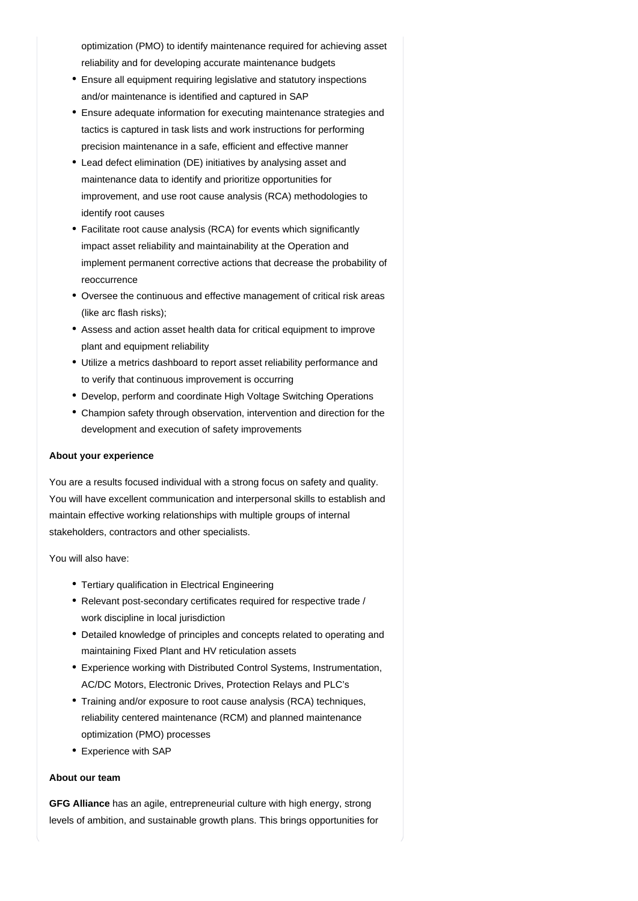optimization (PMO) to identify maintenance required for achieving asset reliability and for developing accurate maintenance budgets

- Ensure all equipment requiring legislative and statutory inspections and/or maintenance is identified and captured in SAP
- Ensure adequate information for executing maintenance strategies and tactics is captured in task lists and work instructions for performing precision maintenance in a safe, efficient and effective manner
- Lead defect elimination (DE) initiatives by analysing asset and maintenance data to identify and prioritize opportunities for improvement, and use root cause analysis (RCA) methodologies to identify root causes
- Facilitate root cause analysis (RCA) for events which significantly impact asset reliability and maintainability at the Operation and implement permanent corrective actions that decrease the probability of reoccurrence
- Oversee the continuous and effective management of critical risk areas (like arc flash risks);
- Assess and action asset health data for critical equipment to improve plant and equipment reliability
- Utilize a metrics dashboard to report asset reliability performance and to verify that continuous improvement is occurring
- Develop, perform and coordinate High Voltage Switching Operations
- Champion safety through observation, intervention and direction for the development and execution of safety improvements

### **About your experience**

You are a results focused individual with a strong focus on safety and quality. You will have excellent communication and interpersonal skills to establish and maintain effective working relationships with multiple groups of internal stakeholders, contractors and other specialists.

You will also have:

- Tertiary qualification in Electrical Engineering
- Relevant post-secondary certificates required for respective trade / work discipline in local jurisdiction
- Detailed knowledge of principles and concepts related to operating and maintaining Fixed Plant and HV reticulation assets
- Experience working with Distributed Control Systems, Instrumentation, AC/DC Motors, Electronic Drives, Protection Relays and PLC's
- Training and/or exposure to root cause analysis (RCA) techniques, reliability centered maintenance (RCM) and planned maintenance optimization (PMO) processes
- Experience with SAP

#### **About our team**

GFG Alliance has an agile, entrepreneurial culture with high energy, strong levels of ambition, and sustainable growth plans. This brings opportunities for